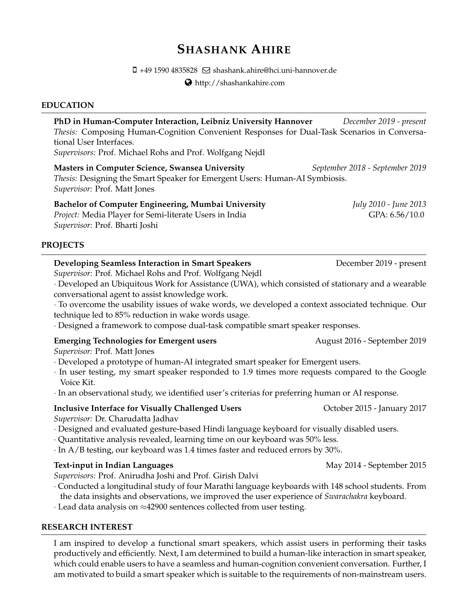# **SHASHANK AHIRE**

 $\square$  +49 1590 4835828  $\square$  shashank.ahire@hci.uni-hannover.de

<http://shashankahire.com>

# **EDUCATION**

**PhD in Human-Computer Interaction, Leibniz University Hannover** *December 2019 - present Thesis:* Composing Human-Cognition Convenient Responses for Dual-Task Scenarios in Conversational User Interfaces. *Supervisors:* Prof. Michael Rohs and Prof. Wolfgang Nejdl **Masters in Computer Science, Swansea University** *September 2018 - September 2019*

*Thesis:* Designing the Smart Speaker for Emergent Users: Human-AI Symbiosis. *Supervisor:* Prof. Matt Jones

# **Bachelor of Computer Engineering, Mumbai University** *July 2010 - June 2013*

*Project:* Media Player for Semi-literate Users in India GPA: 6.56/10.0 *Supervisor:* Prof. Bharti Joshi

# **PROJECTS**

# **Developing Seamless Interaction in Smart Speakers December 2019** - present

*Supervisor:* Prof. Michael Rohs and Prof. Wolfgang Nejdl

· Developed an Ubiquitous Work for Assistance (UWA), which consisted of stationary and a wearable conversational agent to assist knowledge work.

· To overcome the usability issues of wake words, we developed a context associated technique. Our technique led to 85% reduction in wake words usage.

· Designed a framework to compose dual-task compatible smart speaker responses.

# **Emerging Technologies for Emergent users** August 2016 - September 2019

*Supervisor:* Prof. Matt Jones

- · Developed a prototype of human-AI integrated smart speaker for Emergent users.
- · In user testing, my smart speaker responded to 1.9 times more requests compared to the Google Voice Kit.
- · In an observational study, we identified user's criterias for preferring human or AI response.

# **Inclusive Interface for Visually Challenged Users Challenger Constant Constant Property 2017**

*Supervisor:* Dr. Charudatta Jadhav

- · Designed and evaluated gesture-based Hindi language keyboard for visually disabled users.
- · Quantitative analysis revealed, learning time on our keyboard was 50% less.
- · In A/B testing, our keyboard was 1.4 times faster and reduced errors by 30%.

# **Text-input in Indian Languages** May 2014 - September 2015

*Supervisors:* Prof. Anirudha Joshi and Prof. Girish Dalvi

· Conducted a longitudinal study of four Marathi language keyboards with 148 school students. From the data insights and observations, we improved the user experience of *Swarachakra* keyboard.

· Lead data analysis on ≈42900 sentences collected from user testing.

# **RESEARCH INTEREST**

I am inspired to develop a functional smart speakers, which assist users in performing their tasks productively and efficiently. Next, I am determined to build a human-like interaction in smart speaker, which could enable users to have a seamless and human-cognition convenient conversation. Further, I am motivated to build a smart speaker which is suitable to the requirements of non-mainstream users.